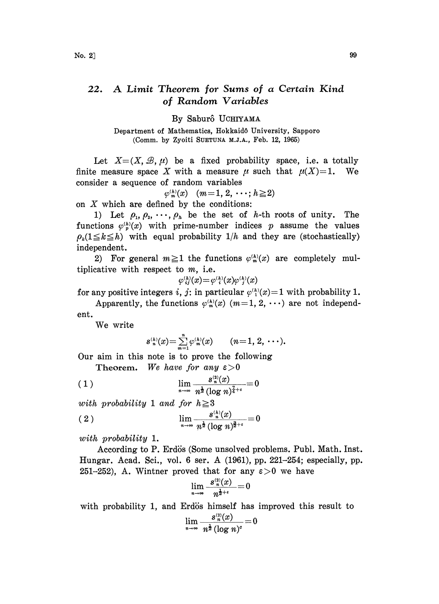## 22. A Limit Theorem for Sums of a Certain Kind of Random Variables

By Saburô UCHIYAMA

Department of Mathematics, Hokkaidô University, Sapporo (Comm. by Zyoiti SUETUNA M.J.A., Feb. 12, 1965)

Let  $X=(X,\mathcal{B},\mu)$  be a fixed probability space, i.e. a totally finite measure space X with a measure  $\mu$  such that  $\mu(X)=1$ . We consider a sequence of random variables

$$
\varphi_m^{(h)}(x) \quad (m=1,\,2,\,\cdots;\,h\geq 2)
$$

 $\varphi_m^{(n)}(x)$   $(m=1, 2, \cdots;$ <br>on X which are defined by the conditions:

1) Let  $\rho_1, \rho_2, \cdots, \rho_n$  be the set of h-th roots of unity. The functions  $\varphi_p^{(h)}(x)$  with prime-number indices p assume the values  $\rho_k(1 \leq k \leq h)$  with equal probability  $1/h$  and they are (stochastically) independent.

2) For general  $m \geq 1$  the functions  $\varphi_m^{(h)}(x)$  are completely multiplicative with respect to  $m$ , i.e.

$$
\varphi_{\,\,ij}^{\scriptscriptstyle(h)}(x)\!=\!\varphi_{\,\,i}^{\scriptscriptstyle(h)}(x)\varphi_{\,\,j}^{\scriptscriptstyle(h)}(x)
$$

for any positive integers i, j: in particular  $\varphi^{(h)}(x)=1$  with probability 1.

Apparently, the functions  $\varphi_m^{(k)}(x)$   $(m=1, 2, \cdots)$  are not independent.

We write

$$
s_n^{(h)}(x) = \sum_{m=1}^n \varphi_m^{(h)}(x) \qquad (n = 1, 2, \cdots).
$$

Our aim in this note is to prove the following Theorem. We have for any  $\varepsilon > 0$ 

$$
(1) \qquad \lim_{n \to \infty} \frac{s_n^{(2)}(x)}{n^{\frac{1}{2}} (\log n)^{\frac{7}{4}+\epsilon}} = 0
$$

with probability 1 and for  $h \geq 3$ 

(2) 
$$
\lim_{n \to \infty} \frac{s_n^{(h)}(x)}{n^{\frac{1}{2}} (\log n)^{\frac{3}{2}+\epsilon}} = 0
$$

with probability 1.

According to P. Erdis (Some unsolved problems. Publ. Math. Inst. Hungar. Acad. Sci., vol. <sup>6</sup> ser. A (1961), pp. 221-254; especially, pp. 251-252), A. Wintner proved that for any  $\varepsilon > 0$  we have

$$
\lim_{n\to\infty}\frac{s_{n}^{(2)}(x)}{n^{\frac{1}{2}+\epsilon}}=0
$$

with probability 1, and Erdös himself has improved this result to

$$
\lim_{n\to\infty}\frac{s_n^{(2)}(x)}{n^{\frac{1}{2}}(\log n)^c}=0
$$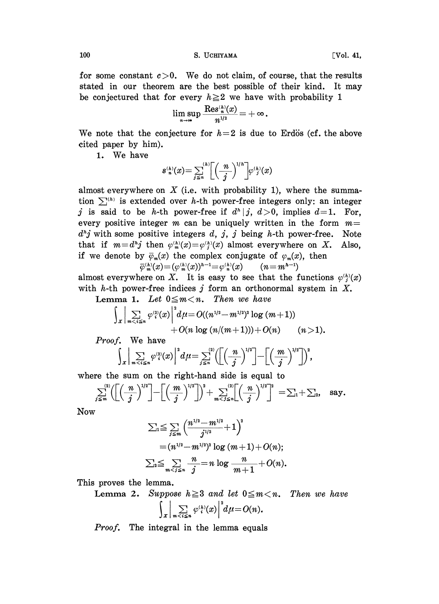100 S. UCHIYAMA [Vol. 41,

for some constant  $c > 0$ . We do not claim, of course, that the results stated in our theorem are the best possible of their kind. It may be conjectured that for every  $h \geq 2$  we have with probability 1

$$
\limsup_{n\to\infty} \frac{\operatorname{Res}^{_{(h)}(x)}{n^{1/2}}\!=\!+\infty\;\! .
$$

We note that the conjecture for  $h=2$  is due to Erdös (cf. the above cited paper by him).

1. We have

$$
s_{n}^{(h)}(x) = \sum_{j\leq n}^{(h)} \left[ \left( \frac{n}{j} \right)^{1/h} \right] \varphi_{j}^{(h)}(x)
$$

every positive integer  $\overline{m}$  can be uniquely written in the form  $s_{n}^{(h)}(x) = \sum_{j \leq n}^{(h)} \left[ \left( \frac{n}{j} \right)^{1/h} \right] \varphi_{j}^{(h)}(x)$ <br>almost everywhere on X (i.e. with probability 1), where the summa-<br>tion  $\sum_{j}^{(h)}$  is extended over h-th power-free integers only: an integer<br>j is said to be  $d<sup>h</sup>j$  with some positive integers d, j, j being h-th power-free. Note that if  $m=d^{h}j$  then  $\varphi_{m}^{(h)}(x)=\varphi_{i}^{(h)}(x)$  almost everywhere on X. Also, if we denote by  $\overline{\varphi}_m(x)$  the complex conjugate of  $\varphi_m(x)$ , then  $\overline{\varphi}_{m}^{(h)}(x)=(\varphi_{m}^{(h)}(x))^{h-1}=\varphi_{n}^{(h)}(x) \qquad (n=m^{h-1})$ 

almost everywhere on X. It is easy to see that the functions  $\varphi_{i}^{(h)}(x)$ with h-th power-free indices j form an orthonormal system in  $X$ .

*h*-th power-free indices *j* form an orthon<br>Lemma 1. Let  $0 \le m < n$ . Then we have

$$
\int_{X} \Big| \sum_{m < i \leq n} \varphi_{i}^{(2)}(x) \Big|^{2} d\mu = O((n^{1/2} - m^{1/2})^{2} \log (m+1)) + O(n \log (n/(m+1))) + O(n) \qquad (n > 1).
$$

Proof. We have

$$
\int_{X}\bigg|\sum_{m
$$

where the sum on the right-hand side is equal to

The the sum of the right-hand side is equal to  

$$
\sum_{j\leq m}^{(2)} \left( \left[ \left( \frac{n}{j} \right)^{1/2} \right] - \left[ \left( \frac{m}{j} \right)^{1/2} \right] \right)^2 + \sum_{m < j \leq n}^{(2)} \left[ \left( \frac{n}{j} \right)^{1/2} \right]^2 = \sum_{i} + \sum_{i} \text{ say.}
$$

**Now** 

$$
\begin{aligned} \sum _{1} & \leq \sum _{j \leq m} \left( \frac{n^{1/2}-m^{1/2}}{j^{1/2}}+1 \right)^2 \\ &= (n^{1/2}-m^{1/2})^2 \log \ (m+1)+O(n); \\ \sum _{2} & \leq \sum _{m
$$

This proves the lemma.

**Lemma 2.** Suppose  $h \geq 3$  and let  $0 \leq m < n$ . Then we have

$$
\int_{X}\bigg|\sum_{m
$$

Proof. The integral in the lemma equals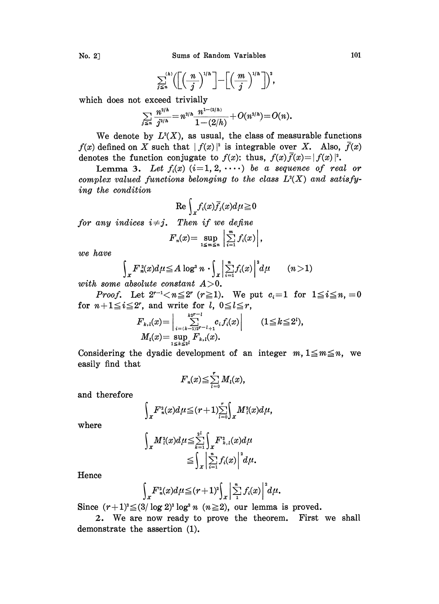$$
\sum_{j\leq n}^{(h)} \left( \left[ \left( \frac{n}{j} \right)^{1/h} \right] - \left[ \left( \frac{m}{j} \right)^{1/h} \right] \right)^2,
$$

which does not exceed trivially

$$
\sum_{j\leq n}\frac{n^{2/h}}{j^{2/h}}=n^{2/h}\frac{n^{1-(2/h)}}{1-(2/h)}+O(n^{2/h})=O(n).
$$

We denote by  $L^2(X)$ , as usual, the class of measurable functions  $f(x)$  defined on X such that  $|f(x)|^2$  is integrable over X. Also,  $\bar{f}(x)$ denotes the function conjugate to  $f(x)$ : thus,  $f(x)\overline{f}(x)=|f(x)|^2$ .

Lemma 3. Let  $f_i(x)$   $(i=1, 2, \cdots)$  be a sequence of real or complex valued functions belonging to the class  $L<sup>2</sup>(X)$  and satisfying the condition

$$
\text{Re}\int_{x}f_{i}(x)\bar{f}_{j}(x)d\mu\geqq0
$$

for any indices 
$$
i \neq j
$$
. Then if we define  
\n
$$
F_n(x) = \sup_{1 \leq m \leq n} \left| \sum_{i=1}^m f_i(x) \right|,
$$
\nand have

we have

$$
\int_{X} F_n^2(x) d\mu \leq A \log^2 n \cdot \int_{X} \left| \sum_{i=1}^n f_i(x) \right|^2 d\mu \qquad (n>1)
$$

with some absolute constant  $A>0$ .

*Proof.* Let  $2^{r-1} < n \le 2^r$   $(r \ge 1)$ . We put  $c_i = 1$  for  $1 \le i \le n, i = 0$ for  $n+1 \leq i \leq 2^r$ , and write for  $l, 0 \leq l \leq r$ ,

$$
F_{k,l}(x) = \Big| \sum_{\substack{i= (k-1)2r - l + 1 \\ i \leq k \leq 2l}} \sum_{\substack{r=1 \\ r \equiv k \pmod{N} \\ r \equiv k, l}}^{k2r - l} c_i f_i(x) \Big| \qquad (1 \leq k \leq 2^l),
$$

Considering the dyadic development of an integer  $m, 1 \leq m \leq n$ , we easily find that

$$
F_n(x) \leq \sum_{l=0}^r M_l(x),
$$

and therefore

$$
\int_{X} F_{n}^{2}(x) d\mu \leq (r+1) \sum_{l=0}^{r} \int_{X} M_{l}^{2}(x) d\mu,
$$

where

$$
\int_X M_i^2(x)d\mu \leq \sum_{k=1}^{2^i} \int_X F_{k,i}^2(x)d\mu
$$
  

$$
\leq \int_X \left| \sum_{i=1}^n f_i(x) \right|^2 d\mu.
$$

Hence

$$
\int_{X} F_n^2(x) d\mu \leq (r+1)^2 \int_{X} \left| \sum_{1}^n f_i(x) \right|^2 d\mu.
$$

Since  $(r+1)^2 \leq (3/\log 2)^2 \log^2 n$   $(n \geq 2)$ , our lemma is proved.

2. We are now ready to prove the theorem. First we shall demonstrate the assertion (1).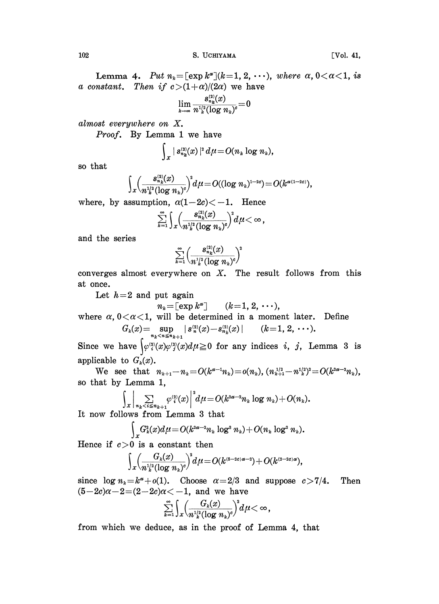$102$  S. UCHIYAMA [Vol. 41,

Lemma 4. Put  $n_k = [\exp k^{\alpha}](k=1, 2, \cdots)$ , where  $\alpha, 0 < \alpha < 1$ , is a constant. Then if  $c > (1+\alpha)/(2\alpha)$  we have

$$
\lim_{k\to\infty}\frac{s_{n_k}^{(2)}(x)}{n^{1/2}_k(\log n_k)^c}\hspace{-0.1cm} =\hspace{-0.1cm}0
$$

almost everywhere on X.

Proof. By Lemma 1 we have

$$
\int_{X} |s_{n_k}^{(2)}(x)|^2 d\mu = O(n_k \log n_k),
$$

so that

$$
\int_{\mathcal{X}} \!\!\left(\frac{s_{n_k}^{(2)}(x)}{n_k^{1/2}(\log n_k)^c}\right)^{\!2}\!d\mu\!=\!O((\log n_k)^{\!1-2c})\!=\!O(k^{\alpha(1-2c)})
$$

where, by assumption,  $\alpha(1-2c) \lt -1$ . Hence

$$
\sum_{k=1}^\infty\Bigl)\frac{s_{n_k}^{(2)}(x)}{n^{\frac{1/2}{k}}(\log n_k)^{\sigma}}\Bigr)^{\hspace{-2pt}\frac{3}{2}}d\mu\!<\!\infty\,,
$$

and the series

$$
\sum_{k=1}^\infty \biggl(\frac{s_{n_k}^{(2)}(x)}{n^{\frac{1}{2}}_k (\log\,n_k)^c}\biggr)^{\!2}
$$

converges almost everywhere on  $X$ . The result follows from this at once.

Let  $h=2$  and put again

 $n_k = \lfloor \exp k^{\alpha} \rfloor$   $(k = 1, 2, \cdots),$ 

where  $\alpha$ ,  $0 < \alpha < 1$ , will be determined in a moment later. Define  $G_k(x) = \sup_{n_k < n \le n_{k+1}} |s_n^{(2)}(x) - s_{n_k}^{(2)}(x)| \qquad (k=1, 2, \dots).$ 

Since we have  $\left\langle \varphi_i^{(2)}(x)\varphi_j^{(2)}(x)d\mu \geq 0 \right\rangle$  for any indices i, j, Lemma 3 is applicable to  $G_k(x)$ .

We see that  $n_{k+1}-n_k=O(k^{\alpha-1}n_k)=o(n_k), (n_{k+1}^{1/2}-n_{k}^{1/2})^2=O(k^{2\alpha-2}n_k),$ so that by Lemma 1,

$$
\left|\sum_{n_k\leq i\leq n_{k+1}}\varphi_i^{(2)}(x)\right|^2 d\mu=O(k^{2\alpha-2}n_k\log n_k)+O(n_k).
$$

It now follows from Lemma <sup>3</sup> that

$$
\int_{\textbf{X}} G^{\textbf{a}}_{k}(x) d\mu \!=\! O(k^{\text{2a}-2} n_{k} \log^{\textbf{3}} n_{k})\!+\! O(n_{k} \log^{\textbf{2}} n_{k}).
$$

Hence if  $c>0$  is a constant then

$$
\int_{X} \Bigl(\frac{G_k(x)}{n_k^{1/2}(\log n_k)^c}\Bigr)^2 d\mu = O(k^{(5-2c)\alpha-2}) + O(k^{(2-2c)\alpha}),
$$

since  $\log n_k = k^{\alpha} + o(1)$ . Choose  $\alpha = 2/3$  and suppose  $c > 7/4$ . Then  $(5-2c)\alpha-2=(2-2c)\alpha<-1$ , and we have

$$
\sum_{k=1}^{\infty}\int_{\mathfrak{X}}\Bigl(\frac{G_{k}(x)}{n^{\frac{1/2}{k}}(\log n_{k})^{c}}\Bigr)^{\!2}d\mu\!<\infty\,,
$$

from which we deduce, as in the proof of Lemma 4, that